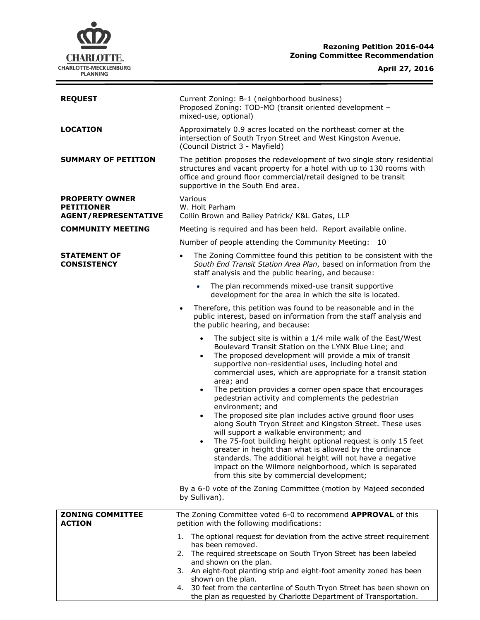# **Rezoning Petition 2016-044 Zoning Committee Recommendation**



 $\overline{\phantom{a}}$ 

| <b>LOCATION</b>                                                           | Approximately 0.9 acres located on the northeast corner at the<br>intersection of South Tryon Street and West Kingston Avenue.<br>(Council District 3 - Mayfield)<br>The petition proposes the redevelopment of two single story residential<br>structures and vacant property for a hotel with up to 130 rooms with                                                                                                                                                                                                                                                                                                                                                                                                                                                                                                                                                                                                                                                                          |  |  |
|---------------------------------------------------------------------------|-----------------------------------------------------------------------------------------------------------------------------------------------------------------------------------------------------------------------------------------------------------------------------------------------------------------------------------------------------------------------------------------------------------------------------------------------------------------------------------------------------------------------------------------------------------------------------------------------------------------------------------------------------------------------------------------------------------------------------------------------------------------------------------------------------------------------------------------------------------------------------------------------------------------------------------------------------------------------------------------------|--|--|
|                                                                           |                                                                                                                                                                                                                                                                                                                                                                                                                                                                                                                                                                                                                                                                                                                                                                                                                                                                                                                                                                                               |  |  |
| <b>SUMMARY OF PETITION</b>                                                | office and ground floor commercial/retail designed to be transit<br>supportive in the South End area.                                                                                                                                                                                                                                                                                                                                                                                                                                                                                                                                                                                                                                                                                                                                                                                                                                                                                         |  |  |
| <b>PROPERTY OWNER</b><br><b>PETITIONER</b><br><b>AGENT/REPRESENTATIVE</b> | Various<br>W. Holt Parham<br>Collin Brown and Bailey Patrick/ K&L Gates, LLP                                                                                                                                                                                                                                                                                                                                                                                                                                                                                                                                                                                                                                                                                                                                                                                                                                                                                                                  |  |  |
| <b>COMMUNITY MEETING</b>                                                  | Meeting is required and has been held. Report available online.<br>Number of people attending the Community Meeting: 10                                                                                                                                                                                                                                                                                                                                                                                                                                                                                                                                                                                                                                                                                                                                                                                                                                                                       |  |  |
|                                                                           |                                                                                                                                                                                                                                                                                                                                                                                                                                                                                                                                                                                                                                                                                                                                                                                                                                                                                                                                                                                               |  |  |
| <b>STATEMENT OF</b><br><b>CONSISTENCY</b>                                 | The Zoning Committee found this petition to be consistent with the<br>$\bullet$<br>South End Transit Station Area Plan, based on information from the<br>staff analysis and the public hearing, and because:                                                                                                                                                                                                                                                                                                                                                                                                                                                                                                                                                                                                                                                                                                                                                                                  |  |  |
|                                                                           | The plan recommends mixed-use transit supportive<br>development for the area in which the site is located.                                                                                                                                                                                                                                                                                                                                                                                                                                                                                                                                                                                                                                                                                                                                                                                                                                                                                    |  |  |
|                                                                           | Therefore, this petition was found to be reasonable and in the<br>$\bullet$<br>public interest, based on information from the staff analysis and<br>the public hearing, and because:                                                                                                                                                                                                                                                                                                                                                                                                                                                                                                                                                                                                                                                                                                                                                                                                          |  |  |
|                                                                           | The subject site is within a 1/4 mile walk of the East/West<br>$\bullet$<br>Boulevard Transit Station on the LYNX Blue Line; and<br>The proposed development will provide a mix of transit<br>$\bullet$<br>supportive non-residential uses, including hotel and<br>commercial uses, which are appropriate for a transit station<br>area; and<br>The petition provides a corner open space that encourages<br>$\bullet$<br>pedestrian activity and complements the pedestrian<br>environment; and<br>The proposed site plan includes active ground floor uses<br>$\bullet$<br>along South Tryon Street and Kingston Street. These uses<br>will support a walkable environment; and<br>The 75-foot building height optional request is only 15 feet<br>$\bullet$<br>greater in height than what is allowed by the ordinance<br>standards. The additional height will not have a negative<br>impact on the Wilmore neighborhood, which is separated<br>from this site by commercial development; |  |  |
|                                                                           | By a 6-0 vote of the Zoning Committee (motion by Majeed seconded<br>by Sullivan).                                                                                                                                                                                                                                                                                                                                                                                                                                                                                                                                                                                                                                                                                                                                                                                                                                                                                                             |  |  |
| <b>ZONING COMMITTEE</b><br><b>ACTION</b>                                  | The Zoning Committee voted 6-0 to recommend APPROVAL of this<br>petition with the following modifications:                                                                                                                                                                                                                                                                                                                                                                                                                                                                                                                                                                                                                                                                                                                                                                                                                                                                                    |  |  |
|                                                                           | The optional request for deviation from the active street requirement<br>1.<br>has been removed.<br>The required streetscape on South Tryon Street has been labeled<br>2.<br>and shown on the plan.<br>3. An eight-foot planting strip and eight-foot amenity zoned has been<br>shown on the plan.<br>4. 30 feet from the centerline of South Tryon Street has been shown on<br>the plan as requested by Charlotte Department of Transportation.                                                                                                                                                                                                                                                                                                                                                                                                                                                                                                                                              |  |  |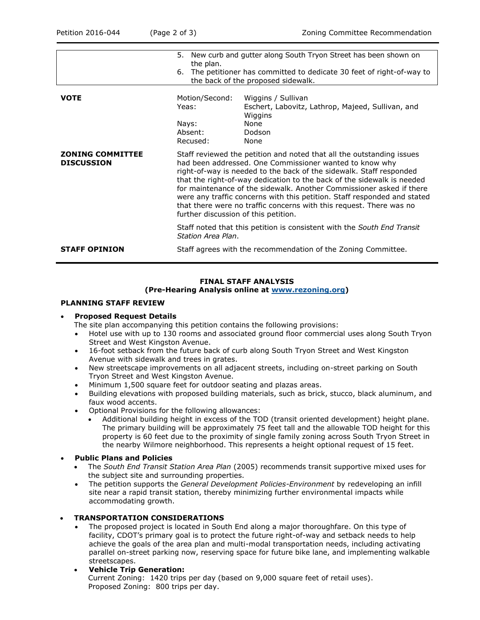|                                              | 5.<br>the plan.<br>6.                                                                                                                                                                                                                                                                                                                                                                                                                                                                                                                                                                                                                                 | New curb and gutter along South Tryon Street has been shown on<br>The petitioner has committed to dedicate 30 feet of right-of-way to<br>the back of the proposed sidewalk. |
|----------------------------------------------|-------------------------------------------------------------------------------------------------------------------------------------------------------------------------------------------------------------------------------------------------------------------------------------------------------------------------------------------------------------------------------------------------------------------------------------------------------------------------------------------------------------------------------------------------------------------------------------------------------------------------------------------------------|-----------------------------------------------------------------------------------------------------------------------------------------------------------------------------|
|                                              |                                                                                                                                                                                                                                                                                                                                                                                                                                                                                                                                                                                                                                                       |                                                                                                                                                                             |
| <b>VOTE</b>                                  | Motion/Second:                                                                                                                                                                                                                                                                                                                                                                                                                                                                                                                                                                                                                                        | Wiggins / Sullivan                                                                                                                                                          |
|                                              | Yeas:                                                                                                                                                                                                                                                                                                                                                                                                                                                                                                                                                                                                                                                 | Eschert, Labovitz, Lathrop, Majeed, Sullivan, and<br>Wiggins                                                                                                                |
|                                              | Nays:                                                                                                                                                                                                                                                                                                                                                                                                                                                                                                                                                                                                                                                 | None                                                                                                                                                                        |
|                                              | Absent:                                                                                                                                                                                                                                                                                                                                                                                                                                                                                                                                                                                                                                               | Dodson                                                                                                                                                                      |
|                                              | Recused:                                                                                                                                                                                                                                                                                                                                                                                                                                                                                                                                                                                                                                              | None                                                                                                                                                                        |
| <b>ZONING COMMITTEE</b><br><b>DISCUSSION</b> | Staff reviewed the petition and noted that all the outstanding issues<br>had been addressed. One Commissioner wanted to know why<br>right-of-way is needed to the back of the sidewalk. Staff responded<br>that the right-of-way dedication to the back of the sidewalk is needed<br>for maintenance of the sidewalk. Another Commissioner asked if there<br>were any traffic concerns with this petition. Staff responded and stated<br>that there were no traffic concerns with this request. There was no<br>further discussion of this petition.<br>Staff noted that this petition is consistent with the South End Transit<br>Station Area Plan. |                                                                                                                                                                             |
|                                              |                                                                                                                                                                                                                                                                                                                                                                                                                                                                                                                                                                                                                                                       |                                                                                                                                                                             |
| <b>STAFF OPINION</b>                         |                                                                                                                                                                                                                                                                                                                                                                                                                                                                                                                                                                                                                                                       | Staff agrees with the recommendation of the Zoning Committee.                                                                                                               |

## **FINAL STAFF ANALYSIS**

#### **(Pre-Hearing Analysis online at [www.rezoning.org\)](http://www.rezoning.org/)**

#### **PLANNING STAFF REVIEW**

#### **Proposed Request Details**

The site plan accompanying this petition contains the following provisions:

- Hotel use with up to 130 rooms and associated ground floor commercial uses along South Tryon Street and West Kingston Avenue.
- 16-foot setback from the future back of curb along South Tryon Street and West Kingston Avenue with sidewalk and trees in grates.
- New streetscape improvements on all adjacent streets, including on-street parking on South Tryon Street and West Kingston Avenue.
- Minimum 1,500 square feet for outdoor seating and plazas areas.
- Building elevations with proposed building materials, such as brick, stucco, black aluminum, and faux wood accents.
- Optional Provisions for the following allowances:
	- Additional building height in excess of the TOD (transit oriented development) height plane. The primary building will be approximately 75 feet tall and the allowable TOD height for this property is 60 feet due to the proximity of single family zoning across South Tryon Street in the nearby Wilmore neighborhood. This represents a height optional request of 15 feet.

## **Public Plans and Policies**

- The *South End Transit Station Area Plan* (2005) recommends transit supportive mixed uses for the subject site and surrounding properties.
- The petition supports the *General Development Policies-Environment* by redeveloping an infill site near a rapid transit station, thereby minimizing further environmental impacts while accommodating growth.

## **TRANSPORTATION CONSIDERATIONS**

- The proposed project is located in South End along a major thoroughfare. On this type of facility, CDOT's primary goal is to protect the future right-of-way and setback needs to help achieve the goals of the area plan and multi-modal transportation needs, including activating parallel on-street parking now, reserving space for future bike lane, and implementing walkable streetscapes.
- **Vehicle Trip Generation:** Current Zoning: 1420 trips per day (based on 9,000 square feet of retail uses). Proposed Zoning: 800 trips per day.